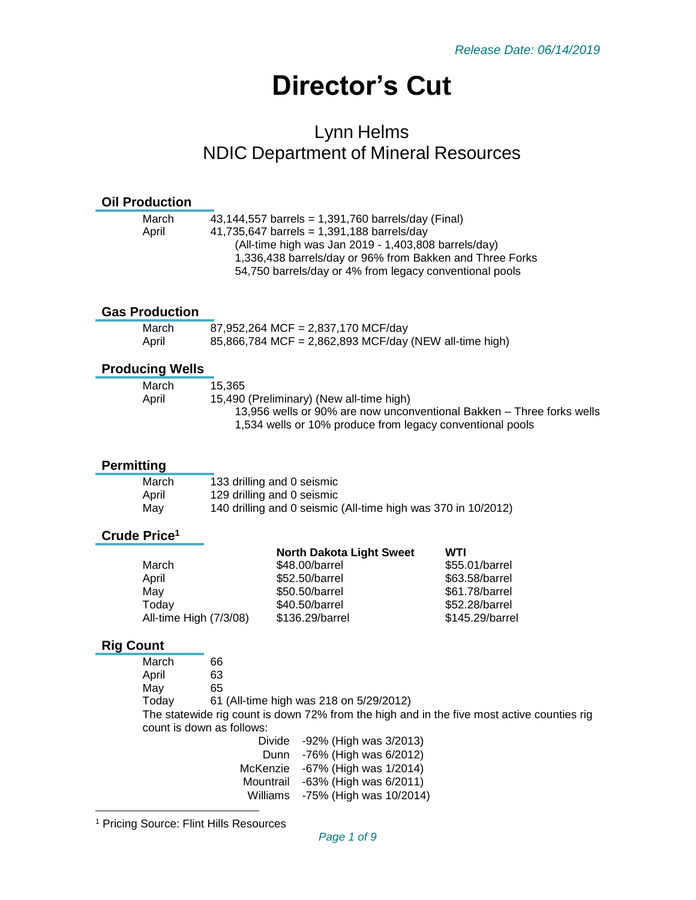# **Director's Cut**

# Lynn Helms NDIC Department of Mineral Resources

#### **Oil Production**

| March | 43,144,557 barrels = 1,391,760 barrels/day (Final)       |
|-------|----------------------------------------------------------|
| April | 41,735,647 barrels = $1,391,188$ barrels/day             |
|       | (All-time high was Jan 2019 - 1,403,808 barrels/day)     |
|       | 1,336,438 barrels/day or 96% from Bakken and Three Forks |
|       | 54,750 barrels/day or 4% from legacy conventional pools  |
|       |                                                          |

#### **Gas Production**

| March | 87,952,264 MCF = 2,837,170 MCF/day                     |
|-------|--------------------------------------------------------|
| April | 85,866,784 MCF = 2,862,893 MCF/day (NEW all-time high) |

#### **Producing Wells**

| March | 15.365                                                                |
|-------|-----------------------------------------------------------------------|
| April | 15,490 (Preliminary) (New all-time high)                              |
|       | 13.956 wells or 90% are now unconventional Bakken – Three forks wells |
|       | 1,534 wells or 10% produce from legacy conventional pools             |
|       |                                                                       |

#### **Permitting**

| March | 133 drilling and 0 seismic                                    |
|-------|---------------------------------------------------------------|
| April | 129 drilling and 0 seismic                                    |
| May   | 140 drilling and 0 seismic (All-time high was 370 in 10/2012) |

#### **Crude Price<sup>1</sup>**

|                        | <b>North Dakota Light Sweet</b> | WTI             |
|------------------------|---------------------------------|-----------------|
| March                  | \$48.00/barrel                  | \$55.01/barrel  |
| April                  | \$52.50/barrel                  | \$63.58/barrel  |
| May                    | \$50.50/barrel                  | \$61.78/barrel  |
| Today                  | \$40.50/barrel                  | \$52.28/barrel  |
| All-time High (7/3/08) | \$136.29/barrel                 | \$145.29/barrel |
|                        |                                 |                 |

#### **Rig Count**

l

| March |  |
|-------|--|
| Anril |  |

April 63

March 66

- May 65
- Today 61 (All-time high was 218 on 5/29/2012)

The statewide rig count is down 72% from the high and in the five most active counties rig count is down as follows:

Divide -92% (High was 3/2013) Dunn -76% (High was 6/2012) McKenzie -67% (High was 1/2014) Mountrail -63% (High was 6/2011) Williams -75% (High was 10/2014)

<sup>1</sup> Pricing Source: Flint Hills Resources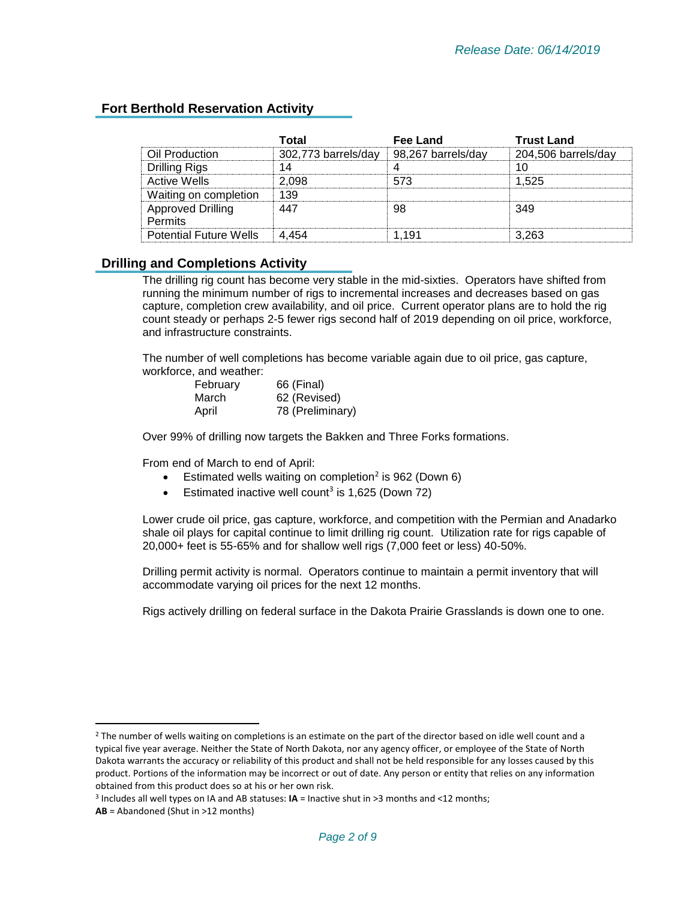## **Fort Berthold Reservation Activity**

|                                            | Total               | Fee Land           | <b>Trust Land</b>   |
|--------------------------------------------|---------------------|--------------------|---------------------|
| Oil Production                             | 302,773 barrels/day | 98,267 barrels/day | 204,506 barrels/day |
| <b>Drilling Rigs</b>                       | 14                  |                    |                     |
| <b>Active Wells</b>                        | 2.098               | 573                | 1.525               |
| Waiting on completion                      | 139                 |                    |                     |
| <b>Approved Drilling</b><br><b>Permits</b> | 447                 | 98                 | 349                 |
| <b>Potential Future Wells</b>              |                     | -191               | 3.263               |

#### **Drilling and Completions Activity**

The drilling rig count has become very stable in the mid-sixties. Operators have shifted from running the minimum number of rigs to incremental increases and decreases based on gas capture, completion crew availability, and oil price. Current operator plans are to hold the rig count steady or perhaps 2-5 fewer rigs second half of 2019 depending on oil price, workforce, and infrastructure constraints.

The number of well completions has become variable again due to oil price, gas capture, workforce, and weather:

| February | 66 (Final)       |
|----------|------------------|
| March    | 62 (Revised)     |
| April    | 78 (Preliminary) |

Over 99% of drilling now targets the Bakken and Three Forks formations.

From end of March to end of April:

- **•** Estimated wells waiting on completion<sup>2</sup> is 962 (Down 6)
- **Estimated inactive well count<sup>3</sup> is 1,625 (Down 72)**

Lower crude oil price, gas capture, workforce, and competition with the Permian and Anadarko shale oil plays for capital continue to limit drilling rig count. Utilization rate for rigs capable of 20,000+ feet is 55-65% and for shallow well rigs (7,000 feet or less) 40-50%.

Drilling permit activity is normal. Operators continue to maintain a permit inventory that will accommodate varying oil prices for the next 12 months.

Rigs actively drilling on federal surface in the Dakota Prairie Grasslands is down one to one.

 $\overline{\phantom{a}}$ 

 $2$  The number of wells waiting on completions is an estimate on the part of the director based on idle well count and a typical five year average. Neither the State of North Dakota, nor any agency officer, or employee of the State of North Dakota warrants the accuracy or reliability of this product and shall not be held responsible for any losses caused by this product. Portions of the information may be incorrect or out of date. Any person or entity that relies on any information obtained from this product does so at his or her own risk.

<sup>3</sup> Includes all well types on IA and AB statuses: **IA** = Inactive shut in >3 months and <12 months;

**AB** = Abandoned (Shut in >12 months)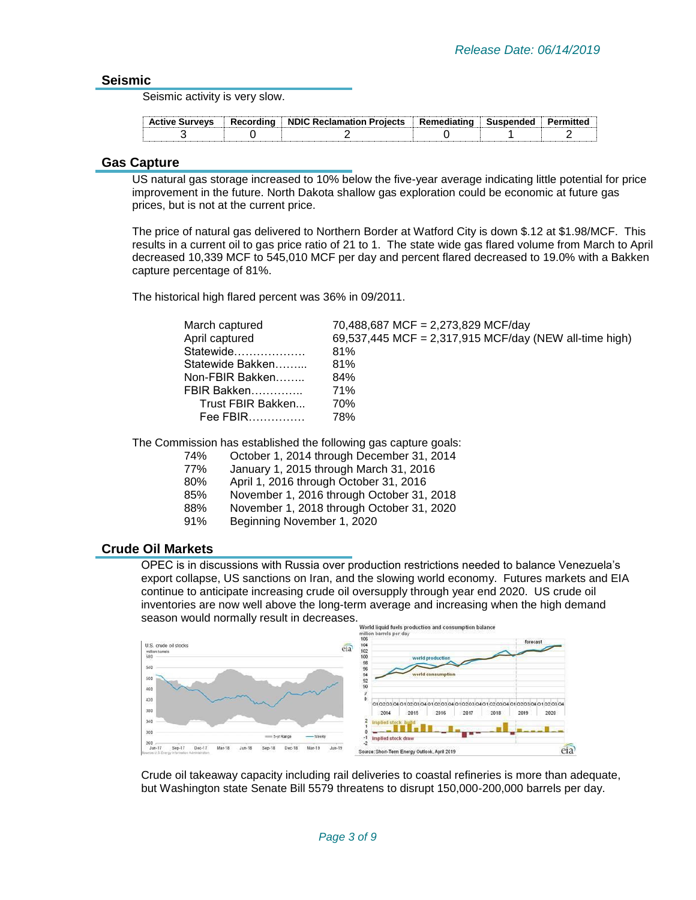#### **Seismic**

Seismic activity is very slow.

| <b>Active Surveys</b> | Recordina | <b>Example 2 NDIC Reclamation Projects</b> | : Remediating | Suspended | пітгес |
|-----------------------|-----------|--------------------------------------------|---------------|-----------|--------|
|                       |           |                                            |               |           |        |

#### **Gas Capture**

US natural gas storage increased to 10% below the five-year average indicating little potential for price improvement in the future. North Dakota shallow gas exploration could be economic at future gas prices, but is not at the current price.

The price of natural gas delivered to Northern Border at Watford City is down \$.12 at \$1.98/MCF. This results in a current oil to gas price ratio of 21 to 1. The state wide gas flared volume from March to April decreased 10,339 MCF to 545,010 MCF per day and percent flared decreased to 19.0% with a Bakken capture percentage of 81%.

The historical high flared percent was 36% in 09/2011.

| March captured    | 70,488,687 MCF = 2,273,829 MCF/day                     |
|-------------------|--------------------------------------------------------|
| April captured    | 69,537,445 MCF = 2,317,915 MCF/day (NEW all-time high) |
| Statewide         | 81%                                                    |
| Statewide Bakken  | 81%                                                    |
| Non-FBIR Bakken   | 84%                                                    |
| FBIR Bakken       | 71%                                                    |
| Trust FBIR Bakken | 70%                                                    |
| Fee FBIR          | 78%                                                    |
|                   |                                                        |

The Commission has established the following gas capture goals:

- 74% October 1, 2014 through December 31, 2014
	- January 1, 2015 through March 31, 2016
- 80% April 1, 2016 through October 31, 2016
- 85% November 1, 2016 through October 31, 2018
- 88% November 1, 2018 through October 31, 2020
- 91% Beginning November 1, 2020

#### **Crude Oil Markets**

OPEC is in discussions with Russia over production restrictions needed to balance Venezuela's export collapse, US sanctions on Iran, and the slowing world economy. Futures markets and EIA continue to anticipate increasing crude oil oversupply through year end 2020. US crude oil inventories are now well above the long-term average and increasing when the high demand Season would normally result in decreases. World liquid fuels production and consu



Crude oil takeaway capacity including rail deliveries to coastal refineries is more than adequate, but Washington state Senate Bill 5579 threatens to disrupt 150,000-200,000 barrels per day.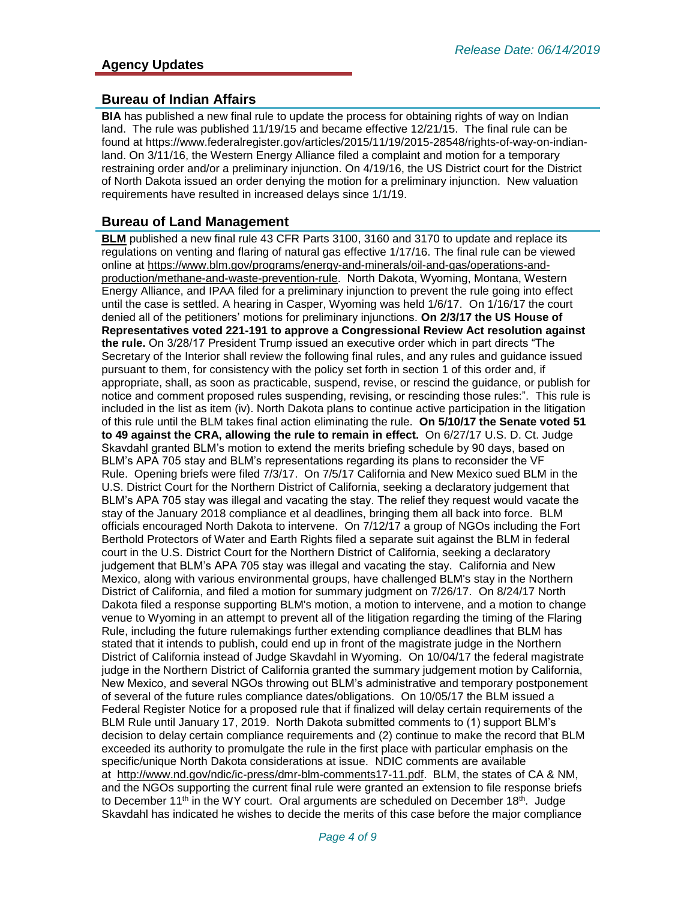#### **Bureau of Indian Affairs**

**BIA** has published a new final rule to update the process for obtaining rights of way on Indian land. The rule was published 11/19/15 and became effective 12/21/15. The final rule can be found at https://www.federalregister.gov/articles/2015/11/19/2015-28548/rights-of-way-on-indianland. On 3/11/16, the Western Energy Alliance filed a complaint and motion for a temporary restraining order and/or a preliminary injunction. On 4/19/16, the US District court for the District of North Dakota issued an order denying the motion for a preliminary injunction. New valuation requirements have resulted in increased delays since 1/1/19.

#### **Bureau of Land Management**

**BLM** published a new final rule 43 CFR Parts 3100, 3160 and 3170 to update and replace its regulations on venting and flaring of natural gas effective 1/17/16. The final rule can be viewed online at [https://www.blm.gov/programs/energy-and-minerals/oil-and-gas/operations-and](https://www.blm.gov/programs/energy-and-minerals/oil-and-gas/operations-and-production/methane-and-waste-prevention-rule)[production/methane-and-waste-prevention-rule.](https://www.blm.gov/programs/energy-and-minerals/oil-and-gas/operations-and-production/methane-and-waste-prevention-rule) North Dakota, Wyoming, Montana, Western Energy Alliance, and IPAA filed for a preliminary injunction to prevent the rule going into effect until the case is settled. A hearing in Casper, Wyoming was held 1/6/17. On 1/16/17 the court denied all of the petitioners' motions for preliminary injunctions. **On 2/3/17 the US House of Representatives voted 221-191 to approve a Congressional Review Act resolution against the rule.** On 3/28/17 President Trump issued an executive order which in part directs "The Secretary of the Interior shall review the following final rules, and any rules and guidance issued pursuant to them, for consistency with the policy set forth in section 1 of this order and, if appropriate, shall, as soon as practicable, suspend, revise, or rescind the guidance, or publish for notice and comment proposed rules suspending, revising, or rescinding those rules:". This rule is included in the list as item (iv). North Dakota plans to continue active participation in the litigation of this rule until the BLM takes final action eliminating the rule. **On 5/10/17 the Senate voted 51 to 49 against the CRA, allowing the rule to remain in effect.** On 6/27/17 U.S. D. Ct. Judge Skavdahl granted BLM's motion to extend the merits briefing schedule by 90 days, based on BLM's APA 705 stay and BLM's representations regarding its plans to reconsider the VF Rule. Opening briefs were filed 7/3/17. On 7/5/17 California and New Mexico sued BLM in the U.S. District Court for the Northern District of California, seeking a declaratory judgement that BLM's APA 705 stay was illegal and vacating the stay. The relief they request would vacate the stay of the January 2018 compliance et al deadlines, bringing them all back into force. BLM officials encouraged North Dakota to intervene. On 7/12/17 a group of NGOs including the Fort Berthold Protectors of Water and Earth Rights filed a separate suit against the BLM in federal court in the U.S. District Court for the Northern District of California, seeking a declaratory judgement that BLM's APA 705 stay was illegal and vacating the stay. California and New Mexico, along with various environmental groups, have challenged BLM's stay in the Northern District of California, and filed a motion for summary judgment on 7/26/17. On 8/24/17 North Dakota filed a response supporting BLM's motion, a motion to intervene, and a motion to change venue to Wyoming in an attempt to prevent all of the litigation regarding the timing of the Flaring Rule, including the future rulemakings further extending compliance deadlines that BLM has stated that it intends to publish, could end up in front of the magistrate judge in the Northern District of California instead of Judge Skavdahl in Wyoming. On 10/04/17 the federal magistrate judge in the Northern District of California granted the summary judgement motion by California, New Mexico, and several NGOs throwing out BLM's administrative and temporary postponement of several of the future rules compliance dates/obligations. On 10/05/17 the BLM issued a Federal Register Notice for a proposed rule that if finalized will delay certain requirements of the BLM Rule until January 17, 2019. North Dakota submitted comments to (1) support BLM's decision to delay certain compliance requirements and (2) continue to make the record that BLM exceeded its authority to promulgate the rule in the first place with particular emphasis on the specific/unique North Dakota considerations at issue. NDIC comments are available at [http://www.nd.gov/ndic/ic-press/dmr-blm-comments17-11.pdf.](http://www.nd.gov/ndic/ic-press/dmr-blm-comments17-11.pdf) BLM, the states of CA & NM, and the NGOs supporting the current final rule were granted an extension to file response briefs to December 11<sup>th</sup> in the WY court. Oral arguments are scheduled on December 18<sup>th</sup>. Judge Skavdahl has indicated he wishes to decide the merits of this case before the major compliance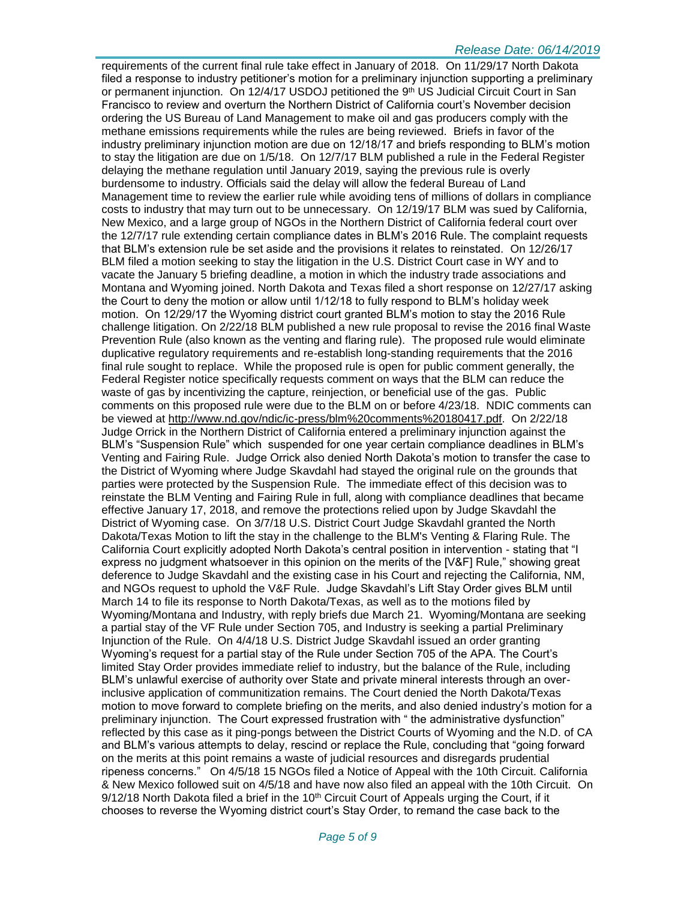requirements of the current final rule take effect in January of 2018. On 11/29/17 North Dakota filed a response to industry petitioner's motion for a preliminary injunction supporting a preliminary or permanent injunction. On 12/4/17 USDOJ petitioned the 9<sup>th</sup> US Judicial Circuit Court in San Francisco to review and overturn the Northern District of California court's November decision ordering the US Bureau of Land Management to make oil and gas producers comply with the methane emissions requirements while the rules are being reviewed. Briefs in favor of the industry preliminary injunction motion are due on 12/18/17 and briefs responding to BLM's motion to stay the litigation are due on 1/5/18. On 12/7/17 BLM published a rule in the Federal Register delaying the methane regulation until January 2019, saying the previous rule is overly burdensome to industry. Officials said the delay will allow the federal Bureau of Land Management time to review the earlier rule while avoiding tens of millions of dollars in compliance costs to industry that may turn out to be unnecessary. On 12/19/17 BLM was sued by California, New Mexico, and a large group of NGOs in the Northern District of California federal court over the 12/7/17 rule extending certain compliance dates in BLM's 2016 Rule. The complaint requests that BLM's extension rule be set aside and the provisions it relates to reinstated. On 12/26/17 BLM filed a motion seeking to stay the litigation in the U.S. District Court case in WY and to vacate the January 5 briefing deadline, a motion in which the industry trade associations and Montana and Wyoming joined. North Dakota and Texas filed a short response on 12/27/17 asking the Court to deny the motion or allow until 1/12/18 to fully respond to BLM's holiday week motion. On 12/29/17 the Wyoming district court granted BLM's motion to stay the 2016 Rule challenge litigation. On 2/22/18 BLM published a new rule proposal to revise the 2016 final Waste Prevention Rule (also known as the venting and flaring rule). The proposed rule would eliminate duplicative regulatory requirements and re-establish long-standing requirements that the 2016 final rule sought to replace. While the proposed rule is open for public comment generally, the Federal Register notice specifically requests comment on ways that the BLM can reduce the waste of gas by incentivizing the capture, reinjection, or beneficial use of the gas. Public comments on this proposed rule were due to the BLM on or before 4/23/18. NDIC comments can be viewed at [http://www.nd.gov/ndic/ic-press/blm%20comments%20180417.pdf.](http://www.nd.gov/ndic/ic-press/blm%20comments%20180417.pdf) On 2/22/18 Judge Orrick in the Northern District of California entered a preliminary injunction against the BLM's "Suspension Rule" which suspended for one year certain compliance deadlines in BLM's Venting and Fairing Rule. Judge Orrick also denied North Dakota's motion to transfer the case to the District of Wyoming where Judge Skavdahl had stayed the original rule on the grounds that parties were protected by the Suspension Rule. The immediate effect of this decision was to reinstate the BLM Venting and Fairing Rule in full, along with compliance deadlines that became effective January 17, 2018, and remove the protections relied upon by Judge Skavdahl the District of Wyoming case. On 3/7/18 U.S. District Court Judge Skavdahl granted the North Dakota/Texas Motion to lift the stay in the challenge to the BLM's Venting & Flaring Rule. The California Court explicitly adopted North Dakota's central position in intervention - stating that "I express no judgment whatsoever in this opinion on the merits of the [V&F] Rule," showing great deference to Judge Skavdahl and the existing case in his Court and rejecting the California, NM, and NGOs request to uphold the V&F Rule. Judge Skavdahl's Lift Stay Order gives BLM until March 14 to file its response to North Dakota/Texas, as well as to the motions filed by Wyoming/Montana and Industry, with reply briefs due March 21. Wyoming/Montana are seeking a partial stay of the VF Rule under Section 705, and Industry is seeking a partial Preliminary Injunction of the Rule. On 4/4/18 U.S. District Judge Skavdahl issued an order granting Wyoming's request for a partial stay of the Rule under Section 705 of the APA. The Court's limited Stay Order provides immediate relief to industry, but the balance of the Rule, including BLM's unlawful exercise of authority over State and private mineral interests through an overinclusive application of communitization remains. The Court denied the North Dakota/Texas motion to move forward to complete briefing on the merits, and also denied industry's motion for a preliminary injunction. The Court expressed frustration with " the administrative dysfunction" reflected by this case as it ping-pongs between the District Courts of Wyoming and the N.D. of CA and BLM's various attempts to delay, rescind or replace the Rule, concluding that "going forward on the merits at this point remains a waste of judicial resources and disregards prudential ripeness concerns." On 4/5/18 15 NGOs filed a Notice of Appeal with the 10th Circuit. California & New Mexico followed suit on 4/5/18 and have now also filed an appeal with the 10th Circuit. On  $9/12/18$  North Dakota filed a brief in the 10<sup>th</sup> Circuit Court of Appeals urging the Court, if it chooses to reverse the Wyoming district court's Stay Order, to remand the case back to the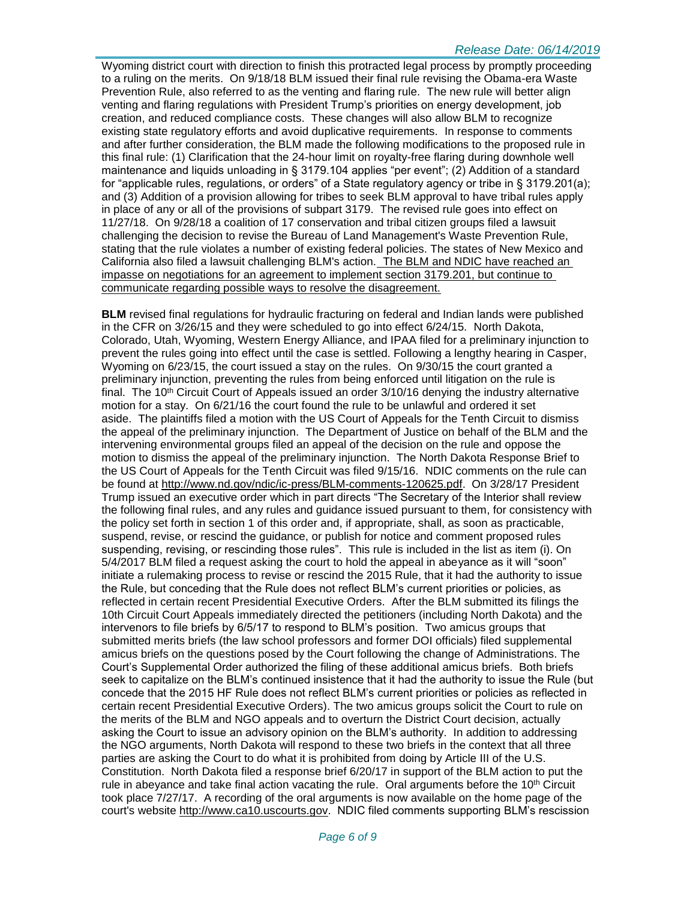Wyoming district court with direction to finish this protracted legal process by promptly proceeding to a ruling on the merits. On 9/18/18 BLM issued their final rule revising the Obama-era Waste Prevention Rule, also referred to as the venting and flaring rule. The new rule will better align venting and flaring regulations with President Trump's priorities on energy development, job creation, and reduced compliance costs. These changes will also allow BLM to recognize existing state regulatory efforts and avoid duplicative requirements. In response to comments and after further consideration, the BLM made the following modifications to the proposed rule in this final rule: (1) Clarification that the 24-hour limit on royalty-free flaring during downhole well maintenance and liquids unloading in § 3179.104 applies "per event"; (2) Addition of a standard for "applicable rules, regulations, or orders" of a State regulatory agency or tribe in § 3179.201(a); and (3) Addition of a provision allowing for tribes to seek BLM approval to have tribal rules apply in place of any or all of the provisions of subpart 3179. The revised rule goes into effect on 11/27/18. On 9/28/18 a coalition of 17 conservation and tribal citizen groups filed a lawsuit challenging the decision to revise the Bureau of Land Management's Waste Prevention Rule, stating that the rule violates a number of existing federal policies. The states of New Mexico and California also filed a lawsuit challenging BLM's action. The BLM and NDIC have reached an impasse on negotiations for an agreement to implement section 3179.201, but continue to communicate regarding possible ways to resolve the disagreement.

**BLM** revised final regulations for hydraulic fracturing on federal and Indian lands were published in the CFR on 3/26/15 and they were scheduled to go into effect 6/24/15. North Dakota, Colorado, Utah, Wyoming, Western Energy Alliance, and IPAA filed for a preliminary injunction to prevent the rules going into effect until the case is settled. Following a lengthy hearing in Casper, Wyoming on 6/23/15, the court issued a stay on the rules. On 9/30/15 the court granted a preliminary injunction, preventing the rules from being enforced until litigation on the rule is final. The 10<sup>th</sup> Circuit Court of Appeals issued an order  $3/10/16$  denying the industry alternative motion for a stay. On 6/21/16 the court found the rule to be unlawful and ordered it set aside. The plaintiffs filed a motion with the US Court of Appeals for the Tenth Circuit to dismiss the appeal of the preliminary injunction. The Department of Justice on behalf of the BLM and the intervening environmental groups filed an appeal of the decision on the rule and oppose the motion to dismiss the appeal of the preliminary injunction. The North Dakota Response Brief to the US Court of Appeals for the Tenth Circuit was filed 9/15/16. NDIC comments on the rule can be found at [http://www.nd.gov/ndic/ic-press/BLM-comments-120625.pdf.](http://www.nd.gov/ndic/ic-press/BLM-comments-120625.pdf) On 3/28/17 President Trump issued an executive order which in part directs "The Secretary of the Interior shall review the following final rules, and any rules and guidance issued pursuant to them, for consistency with the policy set forth in section 1 of this order and, if appropriate, shall, as soon as practicable, suspend, revise, or rescind the guidance, or publish for notice and comment proposed rules suspending, revising, or rescinding those rules". This rule is included in the list as item (i). On 5/4/2017 BLM filed a request asking the court to hold the appeal in abeyance as it will "soon" initiate a rulemaking process to revise or rescind the 2015 Rule, that it had the authority to issue the Rule, but conceding that the Rule does not reflect BLM's current priorities or policies, as reflected in certain recent Presidential Executive Orders. After the BLM submitted its filings the 10th Circuit Court Appeals immediately directed the petitioners (including North Dakota) and the intervenors to file briefs by 6/5/17 to respond to BLM's position. Two amicus groups that submitted merits briefs (the law school professors and former DOI officials) filed supplemental amicus briefs on the questions posed by the Court following the change of Administrations. The Court's Supplemental Order authorized the filing of these additional amicus briefs. Both briefs seek to capitalize on the BLM's continued insistence that it had the authority to issue the Rule (but concede that the 2015 HF Rule does not reflect BLM's current priorities or policies as reflected in certain recent Presidential Executive Orders). The two amicus groups solicit the Court to rule on the merits of the BLM and NGO appeals and to overturn the District Court decision, actually asking the Court to issue an advisory opinion on the BLM's authority. In addition to addressing the NGO arguments, North Dakota will respond to these two briefs in the context that all three parties are asking the Court to do what it is prohibited from doing by Article III of the U.S. Constitution. North Dakota filed a response brief 6/20/17 in support of the BLM action to put the rule in abeyance and take final action vacating the rule. Oral arguments before the  $10<sup>th</sup>$  Circuit took place 7/27/17. A recording of the oral arguments is now available on the home page of the court's website [http://www.ca10.uscourts.gov.](https://urldefense.proofpoint.com/v2/url?u=http-3A__www.ca10.uscourts.gov&d=DwMGaQ&c=2s2mvbfY0UoSKkl6_Ol9wg&r=-wqsZnBxny594KY8HeElow&m=Ul_VtJUX6iW5pvHjCcBxUWtskC0F4Dhry3sPtcEHvCw&s=laRHiLDv5w8otcQWQjpn82WMieoB2AZ-Q4M1LFQPL5s&e=) NDIC filed comments supporting BLM's rescission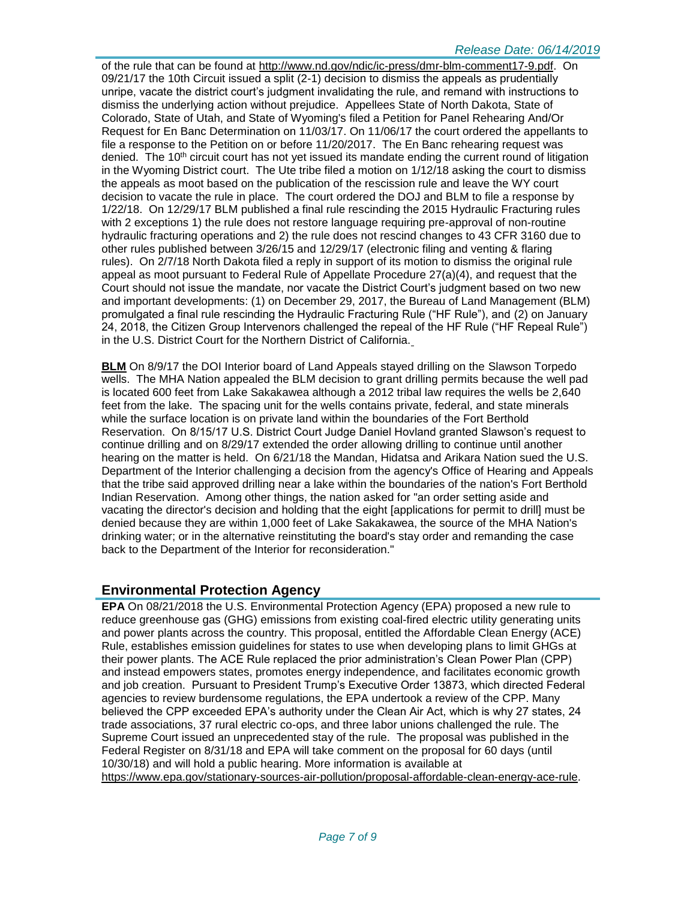of the rule that can be found at [http://www.nd.gov/ndic/ic-press/dmr-blm-comment17-9.pdf.](http://www.nd.gov/ndic/ic-press/dmr-blm-comment17-9.pdf) On 09/21/17 the 10th Circuit issued a split (2-1) decision to dismiss the appeals as prudentially unripe, vacate the district court's judgment invalidating the rule, and remand with instructions to dismiss the underlying action without prejudice. Appellees State of North Dakota, State of Colorado, State of Utah, and State of Wyoming's filed a Petition for Panel Rehearing And/Or Request for En Banc Determination on 11/03/17. On 11/06/17 the court ordered the appellants to file a response to the Petition on or before 11/20/2017. The En Banc rehearing request was denied. The  $10<sup>th</sup>$  circuit court has not yet issued its mandate ending the current round of litigation in the Wyoming District court. The Ute tribe filed a motion on 1/12/18 asking the court to dismiss the appeals as moot based on the publication of the rescission rule and leave the WY court decision to vacate the rule in place. The court ordered the DOJ and BLM to file a response by 1/22/18. On 12/29/17 BLM published a final rule rescinding the 2015 Hydraulic Fracturing rules with 2 exceptions 1) the rule does not restore language requiring pre-approval of non-routine hydraulic fracturing operations and 2) the rule does not rescind changes to 43 CFR 3160 due to other rules published between 3/26/15 and 12/29/17 (electronic filing and venting & flaring rules). On 2/7/18 North Dakota filed a reply in support of its motion to dismiss the original rule appeal as moot pursuant to Federal Rule of Appellate Procedure 27(a)(4), and request that the Court should not issue the mandate, nor vacate the District Court's judgment based on two new and important developments: (1) on December 29, 2017, the Bureau of Land Management (BLM) promulgated a final rule rescinding the Hydraulic Fracturing Rule ("HF Rule"), and (2) on January 24, 2018, the Citizen Group Intervenors challenged the repeal of the HF Rule ("HF Repeal Rule") in the U.S. District Court for the Northern District of California.

**BLM** On 8/9/17 the DOI Interior board of Land Appeals stayed drilling on the Slawson Torpedo wells. The MHA Nation appealed the BLM decision to grant drilling permits because the well pad is located 600 feet from Lake Sakakawea although a 2012 tribal law requires the wells be 2,640 feet from the lake. The spacing unit for the wells contains private, federal, and state minerals while the surface location is on private land within the boundaries of the Fort Berthold Reservation. On 8/15/17 U.S. District Court Judge Daniel Hovland granted Slawson's request to continue drilling and on 8/29/17 extended the order allowing drilling to continue until another hearing on the matter is held. On 6/21/18 the Mandan, Hidatsa and Arikara Nation sued the U.S. Department of the Interior challenging a decision from the agency's Office of Hearing and Appeals that the tribe said approved drilling near a lake within the boundaries of the nation's Fort Berthold Indian Reservation. Among other things, the nation asked for "an order setting aside and vacating the director's decision and holding that the eight [applications for permit to drill] must be denied because they are within 1,000 feet of Lake Sakakawea, the source of the MHA Nation's drinking water; or in the alternative reinstituting the board's stay order and remanding the case back to the Department of the Interior for reconsideration."

# **Environmental Protection Agency**

**EPA** On 08/21/2018 the U.S. Environmental Protection Agency (EPA) proposed a new rule to reduce greenhouse gas (GHG) emissions from existing coal-fired electric utility generating units and power plants across the country. This proposal, entitled the Affordable Clean Energy (ACE) Rule, establishes emission guidelines for states to use when developing plans to limit GHGs at their power plants. The ACE Rule replaced the prior administration's Clean Power Plan (CPP) and instead empowers states, promotes energy independence, and facilitates economic growth and job creation. Pursuant to President Trump's Executive Order 13873, which directed Federal agencies to review burdensome regulations, the EPA undertook a review of the CPP. Many believed the CPP exceeded EPA's authority under the Clean Air Act, which is why 27 states, 24 trade associations, 37 rural electric co-ops, and three labor unions challenged the rule. The Supreme Court issued an unprecedented stay of the rule. The proposal was published in the Federal Register on 8/31/18 and EPA will take comment on the proposal for 60 days (until 10/30/18) and will hold a public hearing. More information is available at [https://www.epa.gov/stationary-sources-air-pollution/proposal-affordable-clean-energy-ace-rule.](https://www.epa.gov/stationary-sources-air-pollution/proposal-affordable-clean-energy-ace-rule)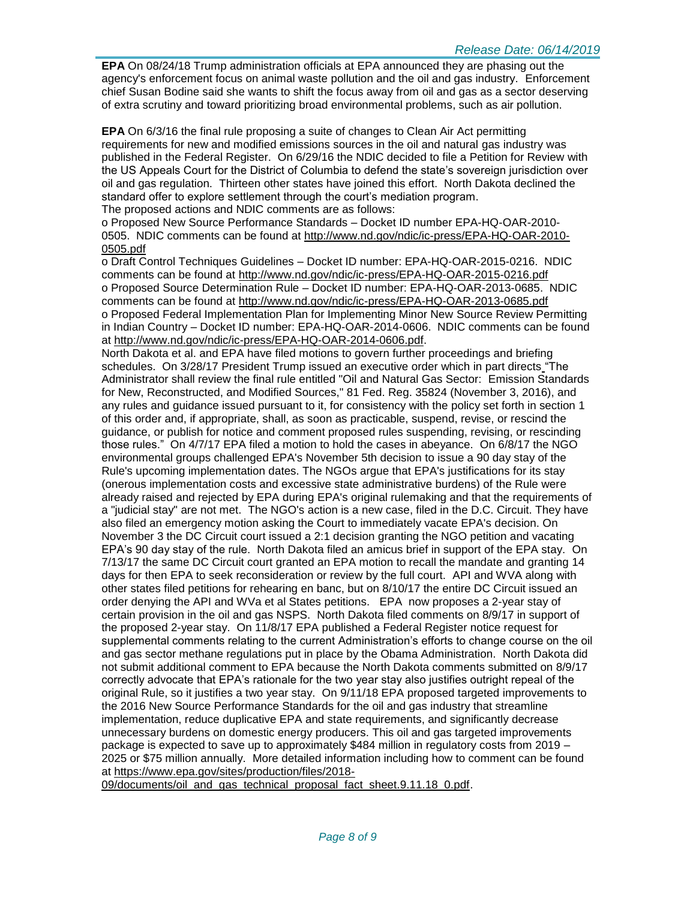**EPA** On 08/24/18 Trump administration officials at EPA announced they are phasing out the agency's enforcement focus on animal waste pollution and the oil and gas industry. Enforcement chief Susan Bodine said she wants to shift the focus away from oil and gas as a sector deserving of extra scrutiny and toward prioritizing broad environmental problems, such as air pollution.

**EPA** On 6/3/16 the final rule proposing a suite of changes to Clean Air Act permitting requirements for new and modified emissions sources in the oil and natural gas industry was published in the Federal Register. On 6/29/16 the NDIC decided to file a Petition for Review with the US Appeals Court for the District of Columbia to defend the state's sovereign jurisdiction over oil and gas regulation. Thirteen other states have joined this effort. North Dakota declined the standard offer to explore settlement through the court's mediation program.

The proposed actions and NDIC comments are as follows:

o Proposed New Source Performance Standards – Docket ID number EPA-HQ-OAR-2010- 0505. NDIC comments can be found at [http://www.nd.gov/ndic/ic-press/EPA-HQ-OAR-2010-](http://www.nd.gov/ndic/ic-press/EPA-HQ-OAR-2010-0505.pdf) [0505.pdf](http://www.nd.gov/ndic/ic-press/EPA-HQ-OAR-2010-0505.pdf)

o Draft Control Techniques Guidelines – Docket ID number: EPA-HQ-OAR-2015-0216. NDIC comments can be found at<http://www.nd.gov/ndic/ic-press/EPA-HQ-OAR-2015-0216.pdf> o Proposed Source Determination Rule – Docket ID number: EPA-HQ-OAR-2013-0685. NDIC comments can be found at<http://www.nd.gov/ndic/ic-press/EPA-HQ-OAR-2013-0685.pdf> o Proposed Federal Implementation Plan for Implementing Minor New Source Review Permitting in Indian Country – Docket ID number: EPA-HQ-OAR-2014-0606. NDIC comments can be found at [http://www.nd.gov/ndic/ic-press/EPA-HQ-OAR-2014-0606.pdf.](http://www.nd.gov/ndic/ic-press/EPA-HQ-OAR-2014-0606.pdf)

North Dakota et al. and EPA have filed motions to govern further proceedings and briefing schedules. On 3/28/17 President Trump issued an executive order which in part directs "The Administrator shall review the final rule entitled "Oil and Natural Gas Sector: Emission Standards for New, Reconstructed, and Modified Sources," 81 Fed. Reg. 35824 (November 3, 2016), and any rules and guidance issued pursuant to it, for consistency with the policy set forth in section 1 of this order and, if appropriate, shall, as soon as practicable, suspend, revise, or rescind the guidance, or publish for notice and comment proposed rules suspending, revising, or rescinding those rules." On 4/7/17 EPA filed a motion to hold the cases in abeyance. On 6/8/17 the NGO environmental groups challenged EPA's November 5th decision to issue a 90 day stay of the Rule's upcoming implementation dates. The NGOs argue that EPA's justifications for its stay (onerous implementation costs and excessive state administrative burdens) of the Rule were already raised and rejected by EPA during EPA's original rulemaking and that the requirements of a "judicial stay" are not met. The NGO's action is a new case, filed in the D.C. Circuit. They have also filed an emergency motion asking the Court to immediately vacate EPA's decision. On November 3 the DC Circuit court issued a 2:1 decision granting the NGO petition and vacating EPA's 90 day stay of the rule. North Dakota filed an amicus brief in support of the EPA stay. On 7/13/17 the same DC Circuit court granted an EPA motion to recall the mandate and granting 14 days for then EPA to seek reconsideration or review by the full court. API and WVA along with other states filed petitions for rehearing en banc, but on 8/10/17 the entire DC Circuit issued an order denying the API and WVa et al States petitions. EPA now proposes a 2-year stay of certain provision in the oil and gas NSPS. North Dakota filed comments on 8/9/17 in support of the proposed 2-year stay. On 11/8/17 EPA published a Federal Register notice request for supplemental comments relating to the current Administration's efforts to change course on the oil and gas sector methane regulations put in place by the Obama Administration. North Dakota did not submit additional comment to EPA because the North Dakota comments submitted on 8/9/17 correctly advocate that EPA's rationale for the two year stay also justifies outright repeal of the original Rule, so it justifies a two year stay. On 9/11/18 EPA proposed targeted improvements to the 2016 New Source Performance Standards for the oil and gas industry that streamline implementation, reduce duplicative EPA and state requirements, and significantly decrease unnecessary burdens on domestic energy producers. This oil and gas targeted improvements package is expected to save up to approximately \$484 million in regulatory costs from 2019 – 2025 or \$75 million annually. More detailed information including how to comment can be found at [https://www.epa.gov/sites/production/files/2018-](https://www.epa.gov/sites/production/files/2018-09/documents/oil_and_gas_technical_proposal_fact_sheet.9.11.18_0.pdf)

[09/documents/oil\\_and\\_gas\\_technical\\_proposal\\_fact\\_sheet.9.11.18\\_0.pdf.](https://www.epa.gov/sites/production/files/2018-09/documents/oil_and_gas_technical_proposal_fact_sheet.9.11.18_0.pdf)